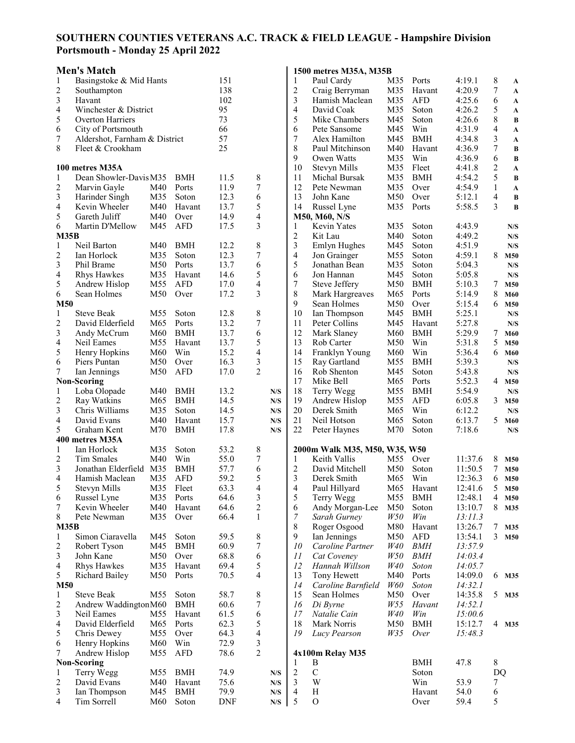## **SOUTHERN COUNTIES VETERANS A.C. TRACK & FIELD LEAGUE - Hampshire Division Portsmouth - Monday 25 April 2022**

## **Men's Match**

|                     | <b>Men's Match</b>            |                 |                      |              |                |             |                | 1500 metres M35A, M35B                        |                 |                |         |                |                      |
|---------------------|-------------------------------|-----------------|----------------------|--------------|----------------|-------------|----------------|-----------------------------------------------|-----------------|----------------|---------|----------------|----------------------|
| 1                   | Basingstoke & Mid Hants       |                 |                      | 151          |                |             | 1              | Paul Cardy                                    | M35             | Ports          | 4:19.1  | 8              | A                    |
| 2                   | Southampton                   |                 |                      | 138          |                |             | 2              | Craig Berryman                                | M35             | Havant         | 4:20.9  | 7              | $\mathbf{A}$         |
| 3                   | Havant                        |                 |                      | 102          |                |             | 3              | Hamish Maclean                                | M35             | <b>AFD</b>     | 4:25.6  | 6              | $\mathbf{A}$         |
| 4                   | Winchester & District         |                 |                      | 95           |                |             | $\overline{4}$ | David Coak                                    | M35             | Soton          | 4:26.2  | 5              | $\mathbf A$          |
| 5                   | Overton Harriers              |                 |                      | 73           |                |             | 5              | Mike Chambers                                 | M45             | Soton          | 4:26.6  | 8              | B                    |
| 6                   | City of Portsmouth            |                 |                      | 66           |                |             | 6              | Pete Sansome                                  | M45             | Win            | 4:31.9  | $\overline{4}$ | $\mathbf{A}$         |
| 7                   | Aldershot, Farnham & District |                 |                      | 57           |                |             | 7              | Alex Hamilton                                 | M45             | <b>BMH</b>     | 4:34.8  | 3              | A                    |
| 8                   | Fleet & Crookham              |                 |                      | 25           |                |             | 8              | Paul Mitchinson                               | M40             | Havant         | 4:36.9  | 7              | $\bf{B}$             |
|                     |                               |                 |                      |              |                |             | 9              | Owen Watts                                    | M35             | Win            | 4:36.9  | 6              | B                    |
|                     | 100 metres M35A               |                 |                      |              |                |             | 10             | Stevyn Mills                                  | M35             | Fleet          | 4:41.8  | $\overline{c}$ | $\mathbf{A}$         |
| 1                   | Dean Showler-Davis M35        |                 | <b>BMH</b>           | 11.5         | 8              |             | 11             | Michal Bursak                                 | M35             | <b>BMH</b>     | 4:54.2  | 5              | B                    |
| $\overline{c}$      | Marvin Gayle                  | M40             | Ports                | 11.9         | 7              |             | 12             | Pete Newman                                   | M35             | Over           | 4:54.9  | $\mathbf{1}$   | $\boldsymbol{\rm A}$ |
| $\mathfrak{Z}$      | Harinder Singh                | M35             | Soton                | 12.3         | 6              |             | 13             | John Kane                                     | M50             | Over           | 5:12.1  | $\overline{4}$ | $\bf{B}$             |
| 4                   | Kevin Wheeler                 | M40             | Havant               | 13.7         | 5              |             | 14             | Russel Lyne                                   | M35             | Ports          | 5:58.5  | 3              | $\bf{B}$             |
| 5                   | Gareth Juliff                 | M40             | Over                 | 14.9         | 4              |             |                | M50, M60, N/S                                 |                 |                |         |                |                      |
| 6                   | Martin D'Mellow               | M45             | <b>AFD</b>           | 17.5         | 3              |             | 1              | Kevin Yates                                   | M35             | Soton          | 4:43.9  |                | N/S                  |
| M35B                |                               |                 |                      |              |                |             | 2              | Kit Lau                                       | M40             | Soton          | 4:49.2  |                | N/S                  |
| 1                   | Neil Barton                   | M40             | <b>BMH</b>           | 12.2         | 8              |             | 3              | Emlyn Hughes                                  | M45             | Soton          | 4:51.9  |                | N/S                  |
| $\boldsymbol{2}$    | Ian Horlock                   | M35             | Soton                | 12.3         | $\overline{7}$ |             | $\overline{4}$ | Jon Grainger                                  | M55             | Soton          | 4:59.1  | 8              | M50                  |
| 3                   | Phil Brame                    | M50             | Ports                | 13.7         | 6              |             | 5              | Jonathan Bean                                 | M35             | Soton          | 5:04.3  |                | N/S                  |
| 4                   | Rhys Hawkes                   | M35             | Havant               | 14.6         | 5              |             | 6              | Jon Hannan                                    | M45             | Soton          | 5:05.8  |                | N/S                  |
| 5                   | Andrew Hislop                 | M <sub>55</sub> | <b>AFD</b>           | 17.0         | 4              |             | 7              | Steve Jeffery                                 | M50             | <b>BMH</b>     | 5:10.3  | 7              | M50                  |
| 6                   | Sean Holmes                   | M50             | Over                 | 17.2         | 3              |             | 8              | Mark Hargreaves                               | M65             | Ports          | 5:14.9  | 8              | M60                  |
| M50                 |                               |                 |                      |              |                |             | 9              | Sean Holmes                                   | M50             | Over           | 5:15.4  | 6              | M50                  |
| $\mathbf{1}$        | <b>Steve Beak</b>             | M <sub>55</sub> | Soton                | 12.8         | 8              |             | 10             | Ian Thompson                                  | M45             | <b>BMH</b>     | 5:25.1  |                | N/S                  |
| 2                   | David Elderfield              | M <sub>65</sub> | Ports                | 13.2         | 7              |             | 11             | Peter Collins                                 | M45             | Havant         | 5:27.8  |                | N/S                  |
| 3                   | Andy McCrum                   | M60             | <b>BMH</b>           | 13.7         | 6              |             | 12             | Mark Slaney                                   | M60             | <b>BMH</b>     | 5:29.9  | 7              | M60                  |
| 4                   | Neil Eames                    | M <sub>55</sub> | Havant               | 13.7         | 5              |             | 13             | Rob Carter                                    | M50             | Win            | 5:31.8  | 5              | M50                  |
| 5                   | Henry Hopkins                 | M60             | Win                  | 15.2         | 4              |             | 14             | Franklyn Young                                | M60             | Win            | 5:36.4  | 6              | M60                  |
| 6                   | Piers Puntan                  | M50             | Over                 | 16.3         | 3              |             | 15             | Ray Gartland                                  | M55             | <b>BMH</b>     | 5:39.3  |                | N/S                  |
| 7                   | Ian Jennings                  | M50             | <b>AFD</b>           | 17.0         | $\overline{2}$ |             | 16             | Rob Shenton                                   | M45             | Soton          | 5:43.8  |                | N/S                  |
|                     | <b>Non-Scoring</b>            |                 |                      |              |                |             | 17             | Mike Bell                                     | M65             | Ports          | 5:52.3  | 4              | M50                  |
| $\mathbf{1}$        | Loba Olopade                  | M40             | <b>BMH</b>           | 13.2         |                | N/S         | 18             | Terry Wegg                                    | M55             | <b>BMH</b>     | 5:54.9  | 3              | N/S                  |
| 2                   | Ray Watkins                   | M65             | <b>BMH</b>           | 14.5         |                | N/S         | 19             | Andrew Hislop                                 | M55             | <b>AFD</b>     | 6:05.8  |                | M50                  |
| 3                   | Chris Williams                | M35             | Soton                | 14.5         |                | N/S         | 20             | Derek Smith                                   | M65             | Win            | 6:12.2  | 5              | N/S                  |
| 4<br>5              | David Evans<br>Graham Kent    | M40             | Havant<br><b>BMH</b> | 15.7<br>17.8 |                | N/S         | 21<br>22       | Neil Hotson                                   | M65             | Soton<br>Soton | 6:13.7  |                | M60                  |
|                     | 400 metres M35A               | M70             |                      |              |                | N/S         |                | Peter Haynes                                  | M70             |                | 7:18.6  |                | N/S                  |
|                     | Ian Horlock                   | M35             |                      | 53.2         |                |             |                |                                               |                 |                |         |                |                      |
| 1<br>$\overline{2}$ | <b>Tim Smales</b>             | M40             | Soton<br>Win         | 55.0         | 8<br>7         |             | 1              | 2000m Walk M35, M50, W35, W50<br>Keith Vallis | M <sub>55</sub> | Over           | 11:37.6 | 8              | M50                  |
| 3                   | Jonathan Elderfield           | M35             | <b>BMH</b>           | 57.7         | 6              |             | 2              | David Mitchell                                | M50             | Soton          | 11:50.5 | 7              | M50                  |
| $\overline{4}$      | Hamish Maclean                | M35             | <b>AFD</b>           | 59.2         | 5              |             | 3              | Derek Smith                                   | M65             | Win            | 12:36.3 | 6              | M50                  |
| 5                   | Stevyn Mills                  | M35             | Fleet                | 63.3         | 4              |             | 4              | Paul Hillyard                                 | M65             | Havant         | 12:41.6 | 5              | M50                  |
| 6                   | Russel Lyne                   | M35             | Ports                | 64.6         | 3              |             | 5              | Terry Wegg                                    | M55             | <b>BMH</b>     | 12:48.1 | 4              | M50                  |
| 7                   | Kevin Wheeler                 | M40             | Havant               | 64.6         | $\overline{c}$ |             | 6              | Andy Morgan-Lee                               | M50             | Soton          | 13:10.7 | 8              | M35                  |
| 8                   | Pete Newman                   | M35             | Over                 | 66.4         | $\mathbf{1}$   |             | 7              | Sarah Gurney                                  | <i>W50</i>      | Win            | 13:11.3 |                |                      |
| M35B                |                               |                 |                      |              |                |             | 8              | Roger Osgood                                  | M80             | Havant         | 13:26.7 | 7              | M35                  |
| $\mathbf{1}$        | Simon Ciaravella              | M45             | Soton                | 59.5         | 8              |             | 9              | Ian Jennings                                  | M50             | <b>AFD</b>     | 13:54.1 | 3              | M50                  |
| 2                   | Robert Tyson                  | M45             | <b>BMH</b>           | 60.9         | 7              |             | 10             | Caroline Partner                              | <i>W40</i>      | <b>BMH</b>     | 13:57.9 |                |                      |
| 3                   | John Kane                     | M50             | Over                 | 68.8         | 6              |             | 11             | Cat Coveney                                   | <i>W50</i>      | BMH            | 14:03.4 |                |                      |
| $\overline{4}$      | Rhys Hawkes                   | M35             | Havant               | 69.4         | 5              |             | 12             | Hannah Willson                                | W40             | Soton          | 14:05.7 |                |                      |
| 5                   | Richard Bailey                | M50             | Ports                | 70.5         | $\overline{4}$ |             | 13             | Tony Hewett                                   | M40             | Ports          | 14:09.0 | 6              | M35                  |
| <b>M50</b>          |                               |                 |                      |              |                |             | 14             | Caroline Barnfield                            | <i>W60</i>      | Soton          | 14:32.1 |                |                      |
| $\mathbf{1}$        | <b>Steve Beak</b>             | M55             | Soton                | 58.7         | 8              |             | 15             | Sean Holmes                                   | M50             | Over           | 14:35.8 | 5              | M35                  |
| $\overline{c}$      | Andrew Waddington M60         |                 | <b>BMH</b>           | 60.6         | 7              |             | 16             | Di Byrne                                      | <i>W55</i>      | Havant         | 14:52.1 |                |                      |
| 3                   | Neil Eames                    | M <sub>55</sub> | Havant               | 61.5         | 6              |             | 17             | Natalie Cain                                  | W40             | Win            | 15:00.6 |                |                      |
| $\overline{4}$      | David Elderfield              | M65             | Ports                | 62.3         | 5              |             | 18             | Mark Norris                                   | M50             | <b>BMH</b>     | 15:12.7 | 4              | M35                  |
| 5                   | Chris Dewey                   | M55             | Over                 | 64.3         | 4              |             | 19             | Lucy Pearson                                  | <i>W35</i>      | Over           | 15:48.3 |                |                      |
| 6                   | Henry Hopkins                 | M60             | Win                  | 72.9         | 3              |             |                |                                               |                 |                |         |                |                      |
| 7                   | Andrew Hislop                 | M55             | <b>AFD</b>           | 78.6         | $\overline{2}$ |             |                | 4x100m Relay M35                              |                 |                |         |                |                      |
|                     | <b>Non-Scoring</b>            |                 |                      |              |                |             | 1              | B                                             |                 | <b>BMH</b>     | 47.8    | 8              |                      |
| $\mathbf{1}$        | Terry Wegg                    | M55             | <b>BMH</b>           | 74.9         |                | N/S         | $\overline{2}$ | $\mathbf C$                                   |                 | Soton          |         | <b>DQ</b>      |                      |
| 2                   | David Evans                   | M40             | Havant               | 75.6         |                | N/S         | 3              | W                                             |                 | Win            | 53.9    | 7              |                      |
| 3                   | Ian Thompson                  | M45             | <b>BMH</b>           | 79.9         |                | ${\bf N/S}$ | $\overline{4}$ | $\, {\rm H}$                                  |                 | Havant         | 54.0    | 6              |                      |
| 4                   | Tim Sorrell                   | M60             | Soton                | <b>DNF</b>   |                | ${\bf N/S}$ | 5              | $\mathbf O$                                   |                 | Over           | 59.4    | 5              |                      |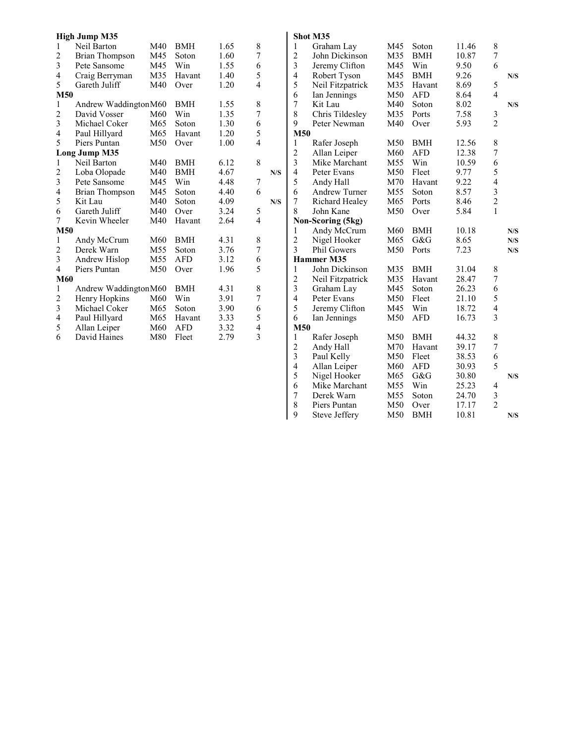|                         | <b>High Jump M35</b>  |            |            |                |                         |     |                                           | Shot N         |
|-------------------------|-----------------------|------------|------------|----------------|-------------------------|-----|-------------------------------------------|----------------|
| $\mathbf{1}$            | Neil Barton           | M40        | <b>BMH</b> | 1.65           | 8                       |     | $\mathbf{1}$                              | G              |
| $\overline{c}$          | <b>Brian Thompson</b> | M45        | Soton      | 1.60           | $\overline{7}$          |     | $\overline{c}$                            | J              |
| 3                       | Pete Sansome          | M45        | Win        | 1.55           | 6                       |     | $\overline{\mathbf{3}}$                   | J              |
| 4                       | Craig Berryman        | M35        | Havant     | 1.40           | 5                       |     | $\overline{4}$                            | R              |
| 5                       | Gareth Juliff         | M40        | Over       | 1.20           | $\overline{4}$          |     | 5                                         | N              |
|                         | M50                   |            |            |                |                         |     | 6                                         | Iέ             |
| $\mathbf{1}$            | Andrew WaddingtonM60  |            | <b>BMH</b> | 1.55           | 8                       |     | 7                                         | K              |
| $\overline{c}$          | David Vosser          | M60        | Win        | 1.35           | $\overline{7}$          |     | 8                                         | C              |
| 3                       | Michael Coker         | M65        | Soton      | 1.30           | 6                       |     | 9                                         | P              |
| $\overline{\mathbf{4}}$ | Paul Hillyard         | M65        | Havant     | 1.20           | 5                       |     | M50                                       |                |
| 5                       | Piers Puntan          | M50        | Over       | 1.00           | $\overline{4}$          |     | $\mathbf{1}$                              | R              |
|                         | <b>Long Jump M35</b>  |            |            |                |                         |     | $\overline{c}$                            | A              |
| $\,1$                   | Neil Barton           | M40        | <b>BMH</b> | 6.12           | 8                       |     | $\overline{\mathbf{3}}$                   | N              |
| $\overline{c}$          | Loba Olopade          | M40        | <b>BMH</b> | 4.67           |                         | N/S | 4                                         | P              |
| 3                       | Pete Sansome          | M45        | Win        | 4.48           | 7                       |     | 5                                         | A              |
| $\overline{4}$          | <b>Brian Thompson</b> | M45        | Soton      | 4.40           | 6                       |     | 6                                         | A              |
| 5                       | Kit Lau               | M40        | Soton      | 4.09           |                         | N/S | 7                                         | R              |
| 6                       | Gareth Juliff         | M40<br>M40 | Over       | 3.24           | 5                       |     | 8                                         | J <sub>0</sub> |
| $\overline{7}$          | Kevin Wheeler         | Havant     | 2.64       | $\overline{4}$ |                         |     | Non-S                                     |                |
|                         | M50                   |            |            |                |                         |     | 1                                         | A              |
| 1                       | Andy McCrum           | M60        | <b>BMH</b> | 4.31           | 8                       |     | $\overline{c}$                            | N              |
| $\overline{c}$          | Derek Warn            | M55        | Soton      | 3.76           | 7                       |     | $\overline{3}$                            | $\mathbf{P}$   |
| 3                       | Andrew Hislop         | M55        | AFD        | 3.12           | 6                       |     |                                           | Hamn           |
| 4                       | Piers Puntan          | M50        | Over       | 1.96           | 5                       |     | $\mathbf{1}$                              | J              |
|                         | M60                   |            |            |                |                         |     | $\overline{c}$                            | N              |
| $\mathbf{1}$            | Andrew Waddington M60 |            | <b>BMH</b> | 4.31           | 8                       |     | $\overline{\mathbf{3}}$                   | G              |
| $\overline{c}$          | Henry Hopkins         | M60        | Win        | 3.91           | $\overline{7}$          |     | $\overline{\mathbf{4}}$                   | P              |
| $\overline{\mathbf{3}}$ | Michael Coker         | M65        | Soton      | 3.90           | 6                       |     | 5                                         | J <sub>0</sub> |
| 4                       | Paul Hillyard         | M65        | Havant     | 3.33           | 5                       |     | 6                                         | Ιa             |
| 5                       | Allan Leiper          | M60        | AFD        | 3.32           | 4                       |     | M50                                       |                |
| 6                       | David Haines          | M80        | Fleet      | 2.79           | $\overline{\mathbf{3}}$ |     | $\,1$                                     | R              |
|                         |                       |            |            |                |                         |     | $\overline{c}$<br>$\overline{\mathbf{3}}$ | A              |
|                         |                       |            |            |                |                         |     |                                           | P              |
|                         |                       |            |            |                |                         |     | $\overline{\mathbf{4}}$                   | A              |
|                         |                       |            |            |                |                         |     | 5                                         | N              |
|                         |                       |            |            |                |                         |     | 6<br>$\overline{7}$                       | N              |
|                         |                       |            |            |                |                         |     |                                           | $\Gamma$       |
|                         |                       |            |            |                |                         |     | 8<br>9                                    | P<br>S         |
|                         |                       |            |            |                |                         |     |                                           |                |
|                         |                       |            |            |                |                         |     |                                           |                |

|                         | Shot M35           |     |            |       |                  |             |
|-------------------------|--------------------|-----|------------|-------|------------------|-------------|
| $\mathbf{1}$            | Graham Lay         | M45 | Soton      | 11.46 | 8                |             |
| $\overline{c}$          | John Dickinson     | M35 | <b>BMH</b> | 10.87 | $\boldsymbol{7}$ |             |
| 3                       | Jeremy Clifton     | M45 | Win        | 9.50  | 6                |             |
| 4                       | Robert Tyson       | M45 | <b>BMH</b> | 9.26  |                  | N/S         |
| 5                       | Neil Fitzpatrick   | M35 | Havant     | 8.69  | 5                |             |
| 6                       | Ian Jennings       | M50 | <b>AFD</b> | 8.64  | $\overline{4}$   |             |
| 7                       | Kit Lau            | M40 | Soton      | 8.02  |                  | ${\bf N/S}$ |
| 8                       | Chris Tildesley    | M35 | Ports      | 7.58  | 3                |             |
| 9                       | Peter Newman       | M40 | Over       | 5.93  | $\overline{2}$   |             |
| M50                     |                    |     |            |       |                  |             |
| $\mathbf{1}$            | Rafer Joseph       | M50 | <b>BMH</b> | 12.56 | 8                |             |
| $\overline{c}$          | Allan Leiper       | M60 | <b>AFD</b> | 12.38 | 7                |             |
| 3                       | Mike Marchant      | M55 | Win        | 10.59 | 6                |             |
| 4                       | Peter Evans        | M50 | Fleet      | 9.77  | 5                |             |
| 5                       | Andy Hall          | M70 | Havant     | 9.22  | $\overline{4}$   |             |
| 6                       | Andrew Turner      | M55 | Soton      | 8.57  | 3                |             |
| 7                       | Richard Healey     | M65 | Ports      | 8.46  | $\overline{c}$   |             |
| 8                       | John Kane          | M50 | Over       | 5.84  | $\mathbf{1}$     |             |
|                         | Non-Scoring (5kg)  |     |            |       |                  |             |
| $\mathbf{1}$            | Andy McCrum        | M60 | <b>BMH</b> | 10.18 |                  | N/S         |
| $\overline{\mathbf{c}}$ | Nigel Hooker       | M65 | G&G        | 8.65  |                  | N/S         |
| 3                       | <b>Phil Gowers</b> | M50 | Ports      | 7.23  |                  | N/S         |
|                         | <b>Hammer M35</b>  |     |            |       |                  |             |
| $\mathbf{1}$            | John Dickinson     | M35 | <b>BMH</b> | 31.04 | 8                |             |
| $\overline{\mathbf{c}}$ | Neil Fitzpatrick   | M35 | Havant     | 28.47 | 7                |             |
| 3                       | Graham Lay         | M45 | Soton      | 26.23 | 6                |             |
| 4                       | Peter Evans        | M50 | Fleet      | 21.10 | 5                |             |
| 5                       | Jeremy Clifton     | M45 | Win        | 18.72 | 4                |             |
| 6                       | Ian Jennings       | M50 | <b>AFD</b> | 16.73 | 3                |             |
| <b>M50</b>              |                    |     |            |       |                  |             |
| $\mathbf{1}$            | Rafer Joseph       | M50 | <b>BMH</b> | 44.32 | 8                |             |
| $\overline{\mathbf{c}}$ | Andy Hall          | M70 | Havant     | 39.17 | $\boldsymbol{7}$ |             |
| 3                       | Paul Kelly         | M50 | Fleet      | 38.53 | 6                |             |
| 4                       | Allan Leiper       | M60 | <b>AFD</b> | 30.93 | 5                |             |
| 5                       | Nigel Hooker       | M65 | G&G        | 30.80 |                  | N/S         |
| 6                       | Mike Marchant      | M55 | Win        | 25.23 | 4                |             |
| 7                       | Derek Warn         | M55 | Soton      | 24.70 | $\mathfrak{Z}$   |             |
| 8                       | Piers Puntan       | M50 | Over       | 17.17 | $\overline{2}$   |             |
| 9                       | Steve Jeffery      | M50 | <b>BMH</b> | 10.81 |                  | N/S         |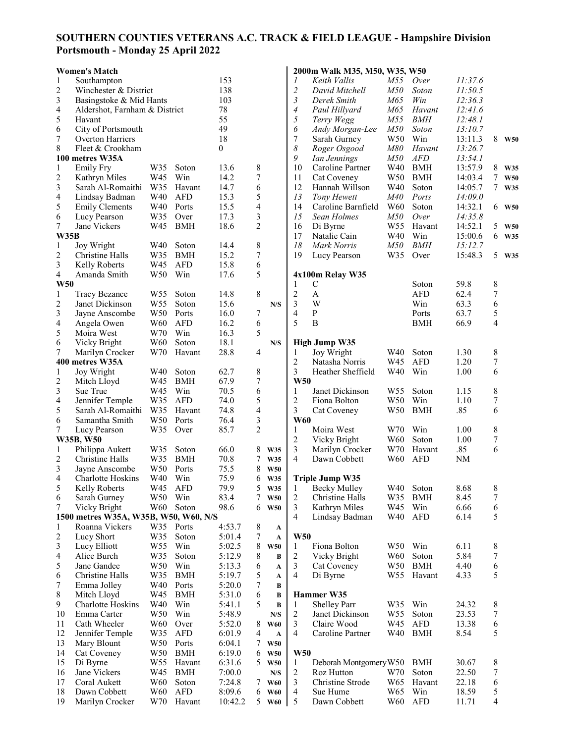## **SOUTHERN COUNTIES VETERANS A.C. TRACK & FIELD LEAGUE - Hampshire Division Portsmouth - Monday 25 April 2022**

|                     | <b>Women's Match</b>                    |                 |            |                |                 |                |                       | 2000m Walk M35, M50, W35, W50      |                 |                     |              |                                 |            |
|---------------------|-----------------------------------------|-----------------|------------|----------------|-----------------|----------------|-----------------------|------------------------------------|-----------------|---------------------|--------------|---------------------------------|------------|
| 1                   | Southampton                             |                 |            | 153            |                 |                | 1                     | Keith Vallis                       | M55             | Over                | 11:37.6      |                                 |            |
| 2                   | Winchester & District                   |                 |            | 138            |                 |                | $\overline{c}$        | David Mitchell                     | M50             | Soton               | 11:50.5      |                                 |            |
| 3                   | Basingstoke & Mid Hants                 |                 |            | 103            |                 |                | 3                     | Derek Smith                        | <i>M</i> 65     | Win                 | 12:36.3      |                                 |            |
| 4                   | Aldershot, Farnham & District           |                 |            | 78             |                 |                | $\boldsymbol{4}$      | Paul Hillyard                      | M65             | Havant              | 12:41.6      |                                 |            |
| 5                   | Havant                                  |                 |            | 55             |                 |                | 5                     | Terry Wegg                         | M55             | <b>BMH</b>          | 12:48.1      |                                 |            |
| 6                   | City of Portsmouth                      |                 |            | 49             |                 |                | 6                     | Andy Morgan-Lee                    | M50             | Soton               | 13:10.7      |                                 |            |
| 7                   | Overton Harriers                        |                 |            | 18             |                 |                | 7                     | Sarah Gurney                       | W <sub>50</sub> | Win                 | 13:11.3      | 8                               | <b>W50</b> |
| 8                   | Fleet & Crookham                        |                 |            | $\overline{0}$ |                 |                | $\boldsymbol{\delta}$ | Roger Osgood                       | M80             | Havant              | 13:26.7      |                                 |            |
|                     | 100 metres W35A                         |                 |            |                |                 |                | 9                     | Ian Jennings                       | M50             | <b>AFD</b>          | 13:54.1      |                                 |            |
| $\mathbf{1}$        | Emily Fry                               | W35             | Soton      | 13.6           | 8               |                | 10                    | Caroline Partner                   | W40             | <b>BMH</b>          | 13:57.9      | 8                               | W35        |
| 2                   | Kathryn Miles                           | W45             | Win        | 14.2           | $\overline{7}$  |                | 11                    | Cat Coveney                        | W50             | <b>BMH</b>          | 14:03.4      | $\tau$                          | <b>W50</b> |
| $\mathfrak{Z}$      | Sarah Al-Romaithi                       | W35             | Havant     | 14.7           | 6               |                | 12                    | Hannah Willson                     | W40             | Soton               | 14:05.7      | $7\phantom{.0}$                 | W35        |
| 4                   | Lindsay Badman                          | W40             | <b>AFD</b> | 15.3           | 5               |                | 13                    | Tony Hewett                        | <i>M40</i>      | Ports               | 14:09.0      |                                 |            |
| 5                   | <b>Emily Clements</b>                   | W40             | Ports      | 15.5           | $\overline{4}$  |                | 14                    | Caroline Barnfield                 | W60             | Soton               | 14:32.1      |                                 | 6 W50      |
| 6                   | Lucy Pearson                            | W35             | Over       | 17.3           | 3               |                | 15                    | Sean Holmes                        | M50             | Over                | 14:35.8      |                                 |            |
| 7                   | Jane Vickers                            | W45             | <b>BMH</b> | 18.6           | $\overline{2}$  |                | 16                    | Di Byrne                           | W <sub>55</sub> | Havant              | 14:52.1      | 5                               | <b>W50</b> |
| W35B                |                                         |                 |            |                |                 |                | 17                    | Natalie Cain                       | W40             | Win                 | 15:00.6      |                                 | 6 W35      |
| $\mathbf{1}$        | Joy Wright                              | W40             | Soton      | 14.4           | $\,$ $\,$       |                | 18                    | Mark Norris                        | M50             | <b>BMH</b>          | 15:12.7      |                                 |            |
| 2                   | Christine Halls                         | W35             | <b>BMH</b> | 15.2           | $\overline{7}$  |                | 19                    | Lucy Pearson                       | W35             | Over                | 15:48.3      | 5                               | W35        |
| $\mathfrak{Z}$      | Kelly Roberts<br>Amanda Smith           | W45             | <b>AFD</b> | 15.8           | 6<br>5          |                |                       |                                    |                 |                     |              |                                 |            |
| 4<br><b>W50</b>     |                                         | W50             | Win        | 17.6           |                 |                |                       | 4x100m Relay W35                   |                 |                     |              |                                 |            |
| 1                   |                                         | W <sub>55</sub> | Soton      | 14.8           | 8               |                | 1<br>$\overline{2}$   | $\mathsf{C}$<br>$\mathbf{A}$       |                 | Soton<br><b>AFD</b> | 59.8<br>62.4 | $\,$ 8 $\,$<br>$\boldsymbol{7}$ |            |
|                     | <b>Tracy Bezance</b><br>Janet Dickinson | W <sub>55</sub> | Soton      | 15.6           |                 |                | 3                     | W                                  |                 | Win                 | 63.3         | 6                               |            |
| 2<br>3              |                                         | W50             | Ports      |                | 7               | N/S            | 4                     | ${\bf P}$                          |                 | Ports               | 63.7         | 5                               |            |
|                     | Jayne Anscombe                          | W60             | <b>AFD</b> | 16.0<br>16.2   | 6               |                | 5                     | $\boldsymbol{B}$                   |                 | <b>BMH</b>          | 66.9         | $\overline{4}$                  |            |
| $\overline{4}$<br>5 | Angela Owen<br>Moira West               | W70             | Win        |                | 5               |                |                       |                                    |                 |                     |              |                                 |            |
| 6                   |                                         | W <sub>60</sub> | Soton      | 16.3<br>18.1   |                 | ${\bf N/S}$    |                       |                                    |                 |                     |              |                                 |            |
| $\tau$              | Vicky Bright                            | W70             | Havant     | 28.8           | 4               |                |                       | <b>High Jump W35</b><br>Joy Wright | W40             | Soton               | 1.30         | 8                               |            |
|                     | Marilyn Crocker<br>400 metres W35A      |                 |            |                |                 |                | 1<br>$\overline{2}$   | Natasha Norris                     | W45             | <b>AFD</b>          | 1.20         | 7                               |            |
| $\mathbf{1}$        | Joy Wright                              | W40             | Soton      | 62.7           | $\,$ 8 $\,$     |                | 3                     | Heather Sheffield                  | W40             | Win                 | 1.00         | 6                               |            |
| $\overline{c}$      | Mitch Lloyd                             | W45             | <b>BMH</b> | 67.9           | $\overline{7}$  |                | W50                   |                                    |                 |                     |              |                                 |            |
| $\mathfrak{Z}$      | Sue True                                | W45             | Win        | 70.5           | 6               |                | 1                     | Janet Dickinson                    | W <sub>55</sub> | Soton               | 1.15         | 8                               |            |
| 4                   | Jennifer Temple                         | W35             | <b>AFD</b> | 74.0           | 5               |                | $\overline{c}$        | Fiona Bolton                       | W <sub>50</sub> | Win                 | 1.10         | $\tau$                          |            |
| 5                   | Sarah Al-Romaithi                       | W35             | Havant     | 74.8           | $\overline{4}$  |                | 3                     | Cat Coveney                        | W50             | <b>BMH</b>          | .85          | 6                               |            |
| 6                   | Samantha Smith                          | W <sub>50</sub> | Ports      | 76.4           | 3               |                | <b>W60</b>            |                                    |                 |                     |              |                                 |            |
| 7                   | Lucy Pearson                            | W35             | Over       | 85.7           | $\overline{2}$  |                | 1                     | Moira West                         | W70             | Win                 | 1.00         | $\,$ 8 $\,$                     |            |
|                     | W35B, W50                               |                 |            |                |                 |                | $\overline{c}$        | Vicky Bright                       | W60             | Soton               | 1.00         | $\boldsymbol{7}$                |            |
| 1                   | Philippa Aukett                         | W35             | Soton      | 66.0           | 8               | W35            | 3                     | Marilyn Crocker                    | W70             | Havant              | .85          | 6                               |            |
| 2                   | <b>Christine Halls</b>                  | W35             | <b>BMH</b> | 70.8           | $7\phantom{.0}$ | W35            | 4                     | Dawn Cobbett                       | W <sub>60</sub> | <b>AFD</b>          | <b>NM</b>    |                                 |            |
| 3                   | Jayne Anscombe                          | W <sub>50</sub> | Ports      | 75.5           | 8               | <b>W50</b>     |                       |                                    |                 |                     |              |                                 |            |
| 4                   | Charlotte Hoskins                       | W40             | Win        | 75.9           | 6               | W35            |                       | <b>Triple Jump W35</b>             |                 |                     |              |                                 |            |
| 5                   | <b>Kelly Roberts</b>                    | W45             | AFD        | 79.9           | 5               | W35            | 1                     | Becky Mulley                       | W40             | Soton               | 8.68         | 8                               |            |
| 6                   | Sarah Gurney                            | W <sub>50</sub> | Win        | 83.4           | $\tau$          | <b>W50</b>     | 2                     | Christine Halls                    | W35             | <b>BMH</b>          | 8.45         | 7                               |            |
| 7                   | Vicky Bright                            | W60             | Soton      | 98.6           | 6               | W50            | 3                     | Kathryn Miles                      | W45             | Win                 | 6.66         | 6                               |            |
|                     | 1500 metres W35A, W35B, W50, W60, N/S   |                 |            |                |                 |                | 4                     | Lindsay Badman                     | W40             | AFD                 | 6.14         | 5                               |            |
| 1                   | Roanna Vickers                          | W35             | Ports      | 4:53.7         | 8               | A              |                       |                                    |                 |                     |              |                                 |            |
| 2                   | Lucy Short                              | W35             | Soton      | 5:01.4         | 7               | A              | <b>W50</b>            |                                    |                 |                     |              |                                 |            |
| 3                   | Lucy Elliott                            | W <sub>55</sub> | Win        | 5:02.5         | 8               | W50            | 1                     | Fiona Bolton                       | W50             | Win                 | 6.11         | 8                               |            |
| 4                   | Alice Burch                             | W35             | Soton      | 5:12.9         | 8               | B              | 2                     | Vicky Bright                       | W60             | Soton               | 5.84         | 7                               |            |
| 5                   | Jane Gandee                             | W50             | Win        | 5:13.3         | 6               | A              | 3                     | Cat Coveney                        | W50             | <b>BMH</b>          | 4.40         | 6                               |            |
| 6                   | Christine Halls                         | W35             | <b>BMH</b> | 5:19.7         | 5               | A              | 4                     | Di Byrne                           | W <sub>55</sub> | Havant              | 4.33         | 5                               |            |
| 7                   | Emma Jolley                             | W40             | Ports      | 5:20.0         | 7               | B              |                       |                                    |                 |                     |              |                                 |            |
| $\,8\,$             | Mitch Lloyd                             | W45             | <b>BMH</b> | 5:31.0         | 6               | B              |                       | Hammer W35                         |                 |                     |              |                                 |            |
| 9                   | Charlotte Hoskins                       | W40             | Win        | 5:41.1         | 5               | $\bf{B}$       | 1                     | <b>Shelley Parr</b>                | W35             | Win                 | 24.32        | 8                               |            |
| 10                  | Emma Carter                             | W50             | Win        | 5:48.9         |                 | N/S            | 2                     | Janet Dickinson                    | W <sub>55</sub> | Soton               | 23.53        | 7                               |            |
| 11                  | Cath Wheeler                            | W60             | Over       | 5:52.0         | 8               | W60            | 3                     | Claire Wood                        | W45             | <b>AFD</b>          | 13.38        | 6                               |            |
| 12                  | Jennifer Temple                         | W35             | AFD        | 6:01.9         | $\overline{4}$  | A              | 4                     | Caroline Partner                   | W40             | <b>BMH</b>          | 8.54         | 5                               |            |
| 13                  | Mary Blount                             | W50             | Ports      | 6:04.1         | $\tau$          | <b>W50</b>     |                       |                                    |                 |                     |              |                                 |            |
| 14                  | Cat Coveney                             | W50             | <b>BMH</b> | 6:19.0         | 6               | <b>W50</b>     | <b>W50</b>            |                                    |                 |                     |              |                                 |            |
| 15                  | Di Byrne                                | W <sub>55</sub> | Havant     | 6:31.6         | 5 <sup>5</sup>  | <b>W50</b>     | 1                     | Deborah Montgomery W50             |                 | <b>BMH</b>          | 30.67        | 8                               |            |
| 16                  | Jane Vickers                            | W45             | <b>BMH</b> | 7:00.0         |                 | N/S            | 2                     | Roz Hutton                         | W70             | Soton               | 22.50        | $\boldsymbol{7}$                |            |
| 17                  | Coral Aukett                            | W60             | Soton      | 7:24.8         | 7               | <b>W60</b>     | 3                     | Christine Strode                   | W65             | Havant              | 22.18        | 6                               |            |
| 18                  | Dawn Cobbett                            | W60             | <b>AFD</b> | 8:09.6         | 6               | $\mathbf{W60}$ | 4                     | Sue Hume                           | W65             | Win                 | 18.59        | 5                               |            |
| 19                  | Marilyn Crocker                         | W70             | Havant     | 10:42.2        | 5 <sup>7</sup>  | <b>W60</b>     | 5                     | Dawn Cobbett                       | W60             | <b>AFD</b>          | 11.71        | $\overline{4}$                  |            |